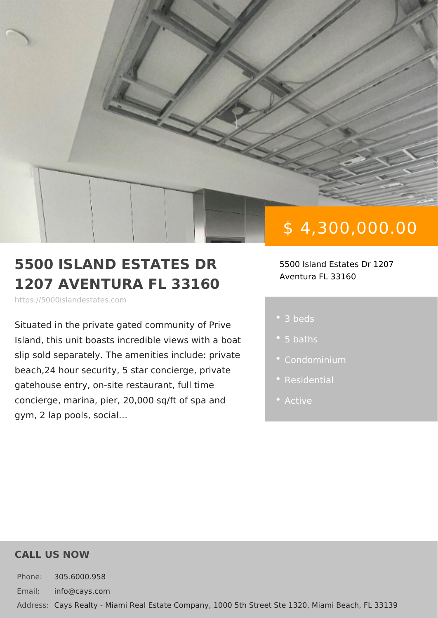# \$ 4,300,000.00

#### 5500 ISLAND ESTATES DR 5500 Island Estates Dr 1207 1207 AVENTURA FL 33160 Aventura FL 33160

https://5000islandestates.com

Situated in the private gated community Island, this unit boasts incredible views slip sold separately. The amenities incl beach, 24 hour security, 5 star concierg gatehouse entry, on-site restaurant, ful concierge, marina, pier,  $20,000$  sq/ft of gym, 2 lap pools, social &

3 beds

- 
- 
- 
- Active

#### CALL US NOW

Phone: 305.6000.958 Email: info@cays.com Addres Cays Realty - Miami Real Estate Company, 1000 5th Street Ste 1320, Mia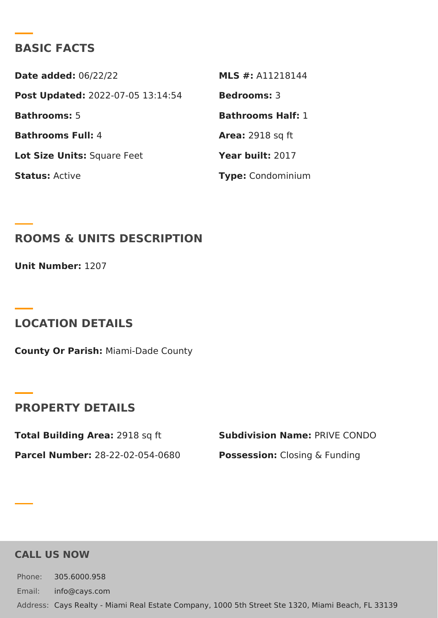### BASIC FACTS

Date added: 6/22/22 MLS #: A11218144 Post Update @022-07-05 13:14:54Bedrooms3 Bathrooms5 Bathrooms Half: Bathrooms Fu4I: Area: 2918 sq ft Lot Size Unifsquare Feet Year buil 2:017 StatusActive Type Condominium

ROOMS & UNITS DESCRIPTION

Unit Number<sup>1</sup>:207

LOCATION DETAILS

County Or Paris/liami-Dade County

PROPERTY DETAILS

Total Building Ar2e9a18 sq ft Subdivision NamPeRIVE CONDO Parcel Numbe28-22-02-054-0680 PossessionC:losing & Funding

CALL US NOW

Phone: 305.6000.958 Email: info@cays.com Addres Cays Realty - Miami Real Estate Company, 1000 5th Street Ste 1320, Mia